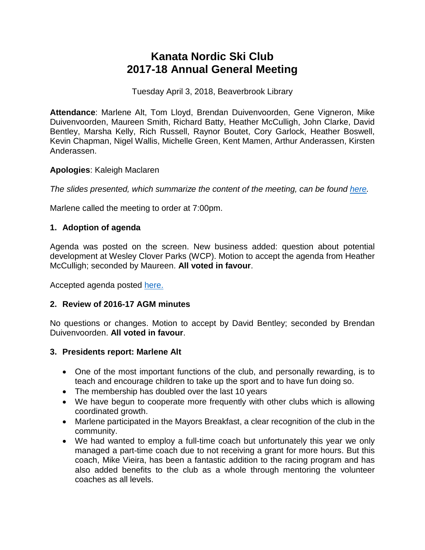# **Kanata Nordic Ski Club 2017-18 Annual General Meeting**

Tuesday April 3, 2018, Beaverbrook Library

**Attendance**: Marlene Alt, Tom Lloyd, Brendan Duivenvoorden, Gene Vigneron, Mike Duivenvoorden, Maureen Smith, Richard Batty, Heather McCulligh, John Clarke, David Bentley, Marsha Kelly, Rich Russell, Raynor Boutet, Cory Garlock, Heather Boswell, Kevin Chapman, Nigel Wallis, Michelle Green, Kent Mamen, Arthur Anderassen, Kirsten Anderassen.

## **Apologies**: Kaleigh Maclaren

*The slides presented, which summarize the content of the meeting, can be found [here.](http://www.kanatanordic.ca/wp-content/uploads/AGM-2017-18-presentation.pdf)*

Marlene called the meeting to order at 7:00pm.

# **1. Adoption of agenda**

Agenda was posted on the screen. New business added: question about potential development at Wesley Clover Parks (WCP). Motion to accept the agenda from Heather McCulligh; seconded by Maureen. **All voted in favour**.

Accepted agenda posted [here.](http://www.kanatanordic.ca/wp-content/uploads/AGM-agenda-April-3-2018-accepted.pdf)

# **2. Review of 2016-17 AGM minutes**

No questions or changes. Motion to accept by David Bentley; seconded by Brendan Duivenvoorden. **All voted in favour**.

#### **3. Presidents report: Marlene Alt**

- One of the most important functions of the club, and personally rewarding, is to teach and encourage children to take up the sport and to have fun doing so.
- The membership has doubled over the last 10 years
- We have begun to cooperate more frequently with other clubs which is allowing coordinated growth.
- Marlene participated in the Mayors Breakfast, a clear recognition of the club in the community.
- We had wanted to employ a full-time coach but unfortunately this year we only managed a part-time coach due to not receiving a grant for more hours. But this coach, Mike Vieira, has been a fantastic addition to the racing program and has also added benefits to the club as a whole through mentoring the volunteer coaches as all levels.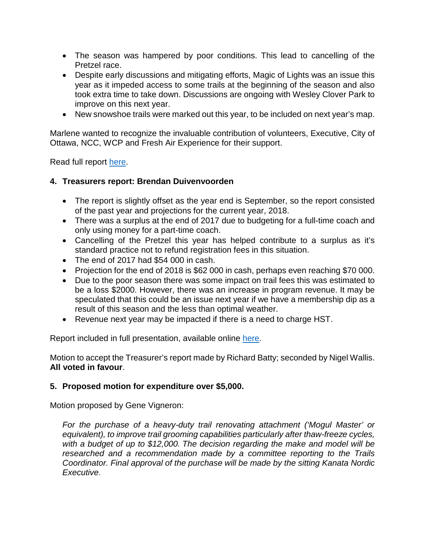- The season was hampered by poor conditions. This lead to cancelling of the Pretzel race.
- Despite early discussions and mitigating efforts, Magic of Lights was an issue this year as it impeded access to some trails at the beginning of the season and also took extra time to take down. Discussions are ongoing with Wesley Clover Park to improve on this next year.
- New snowshoe trails were marked out this year, to be included on next year's map.

Marlene wanted to recognize the invaluable contribution of volunteers, Executive, City of Ottawa, NCC, WCP and Fresh Air Experience for their support.

Read full report [here.](http://www.kanatanordic.ca/wp-content/uploads/2017-18-Presidents-report.pdf)

#### **4. Treasurers report: Brendan Duivenvoorden**

- The report is slightly offset as the year end is September, so the report consisted of the past year and projections for the current year, 2018.
- There was a surplus at the end of 2017 due to budgeting for a full-time coach and only using money for a part-time coach.
- Cancelling of the Pretzel this year has helped contribute to a surplus as it's standard practice not to refund registration fees in this situation.
- The end of 2017 had \$54 000 in cash.
- Projection for the end of 2018 is \$62 000 in cash, perhaps even reaching \$70 000.
- Due to the poor season there was some impact on trail fees this was estimated to be a loss \$2000. However, there was an increase in program revenue. It may be speculated that this could be an issue next year if we have a membership dip as a result of this season and the less than optimal weather.
- Revenue next year may be impacted if there is a need to charge HST.

Report included in full presentation, available online [here.](http://www.kanatanordic.ca/wp-content/uploads/AGM-2017-18-presentation.pdf)

Motion to accept the Treasurer's report made by Richard Batty; seconded by Nigel Wallis. **All voted in favour**.

#### **5. Proposed motion for expenditure over \$5,000.**

Motion proposed by Gene Vigneron:

*For the purchase of a heavy-duty trail renovating attachment ('Mogul Master' or equivalent), to improve trail grooming capabilities particularly after thaw-freeze cycles, with a budget of up to \$12,000. The decision regarding the make and model will be researched and a recommendation made by a committee reporting to the Trails Coordinator. Final approval of the purchase will be made by the sitting Kanata Nordic Executive*.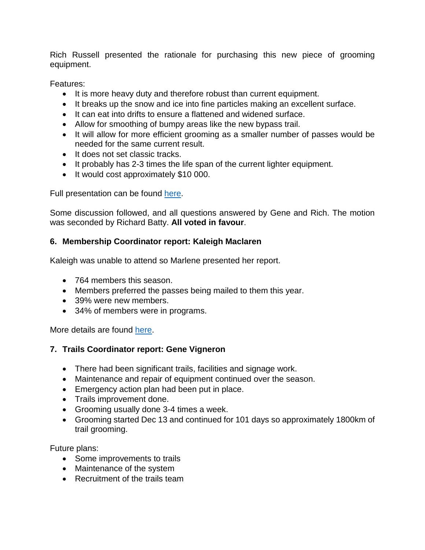Rich Russell presented the rationale for purchasing this new piece of grooming equipment.

Features:

- It is more heavy duty and therefore robust than current equipment.
- It breaks up the snow and ice into fine particles making an excellent surface.
- It can eat into drifts to ensure a flattened and widened surface.
- Allow for smoothing of bumpy areas like the new bypass trail.
- It will allow for more efficient grooming as a smaller number of passes would be needed for the same current result.
- It does not set classic tracks.
- It probably has 2-3 times the life span of the current lighter equipment.
- It would cost approximately \$10 000.

Full presentation can be found [here.](http://www.kanatanordic.ca/wp-content/uploads/Mogul-master-background.pdf)

Some discussion followed, and all questions answered by Gene and Rich. The motion was seconded by Richard Batty. **All voted in favour**.

## **6. Membership Coordinator report: Kaleigh Maclaren**

Kaleigh was unable to attend so Marlene presented her report.

- 764 members this season.
- Members preferred the passes being mailed to them this year.
- 39% were new members.
- 34% of members were in programs.

More details are found [here.](http://www.kanatanordic.ca/wp-content/uploads/Membership-Report.pdf)

# **7. Trails Coordinator report: Gene Vigneron**

- There had been significant trails, facilities and signage work.
- Maintenance and repair of equipment continued over the season.
- Emergency action plan had been put in place.
- Trails improvement done.
- Grooming usually done 3-4 times a week.
- Grooming started Dec 13 and continued for 101 days so approximately 1800km of trail grooming.

Future plans:

- Some improvements to trails
- Maintenance of the system
- Recruitment of the trails team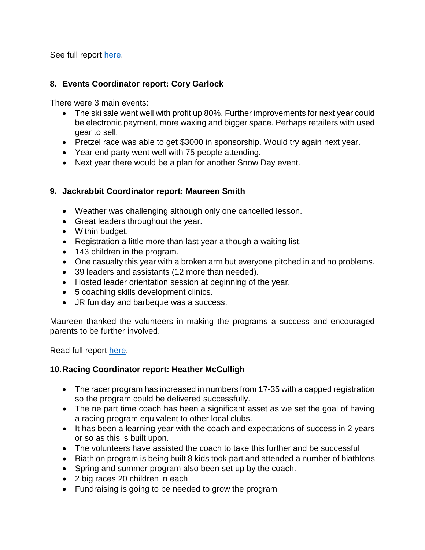See full report [here.](http://www.kanatanordic.ca/wp-content/uploads/Trails-annual-report-2017-2018.pdf)

## **8. Events Coordinator report: Cory Garlock**

There were 3 main events:

- The ski sale went well with profit up 80%. Further improvements for next year could be electronic payment, more waxing and bigger space. Perhaps retailers with used gear to sell.
- Pretzel race was able to get \$3000 in sponsorship. Would try again next year.
- Year end party went well with 75 people attending.
- Next year there would be a plan for another Snow Day event.

## **9. Jackrabbit Coordinator report: Maureen Smith**

- Weather was challenging although only one cancelled lesson.
- Great leaders throughout the year.
- Within budget.
- Registration a little more than last year although a waiting list.
- 143 children in the program.
- One casualty this year with a broken arm but everyone pitched in and no problems.
- 39 leaders and assistants (12 more than needed).
- Hosted leader orientation session at beginning of the year.
- 5 coaching skills development clinics.
- JR fun day and barbeque was a success.

Maureen thanked the volunteers in making the programs a success and encouraged parents to be further involved.

Read full report [here.](http://www.kanatanordic.ca/wp-content/uploads/2017-2018-Jackrabbit-Coordinator-report.pdf)

# **10.Racing Coordinator report: Heather McCulligh**

- The racer program has increased in numbers from 17-35 with a capped registration so the program could be delivered successfully.
- The ne part time coach has been a significant asset as we set the goal of having a racing program equivalent to other local clubs.
- It has been a learning year with the coach and expectations of success in 2 years or so as this is built upon.
- The volunteers have assisted the coach to take this further and be successful
- Biathlon program is being built 8 kids took part and attended a number of biathlons
- Spring and summer program also been set up by the coach.
- 2 big races 20 children in each
- Fundraising is going to be needed to grow the program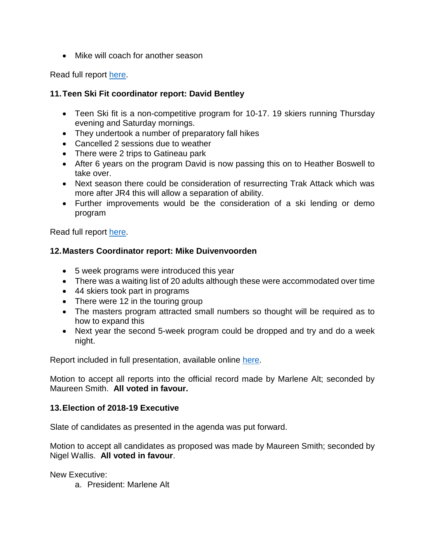• Mike will coach for another season

Read full report [here.](http://www.kanatanordic.ca/wp-content/uploads/2018_AGM-Racing-Program-Report.pdf)

## **11.Teen Ski Fit coordinator report: David Bentley**

- Teen Ski fit is a non-competitive program for 10-17. 19 skiers running Thursday evening and Saturday mornings.
- They undertook a number of preparatory fall hikes
- Cancelled 2 sessions due to weather
- There were 2 trips to Gatineau park
- After 6 years on the program David is now passing this on to Heather Boswell to take over.
- Next season there could be consideration of resurrecting Trak Attack which was more after JR4 this will allow a separation of ability.
- Further improvements would be the consideration of a ski lending or demo program

Read full report [here.](http://www.kanatanordic.ca/wp-content/uploads/ski-fit-2017-18-review.pdf)

## **12.Masters Coordinator report: Mike Duivenvoorden**

- 5 week programs were introduced this year
- There was a waiting list of 20 adults although these were accommodated over time
- 44 skiers took part in programs
- There were 12 in the touring group
- The masters program attracted small numbers so thought will be required as to how to expand this
- Next year the second 5-week program could be dropped and try and do a week night.

Report included in full presentation, available online [here.](http://www.kanatanordic.ca/wp-content/uploads/AGM-2017-18-presentation.pdf)

Motion to accept all reports into the official record made by Marlene Alt; seconded by Maureen Smith. **All voted in favour.**

#### **13.Election of 2018-19 Executive**

Slate of candidates as presented in the agenda was put forward.

Motion to accept all candidates as proposed was made by Maureen Smith; seconded by Nigel Wallis. **All voted in favour**.

New Executive:

a. President: Marlene Alt